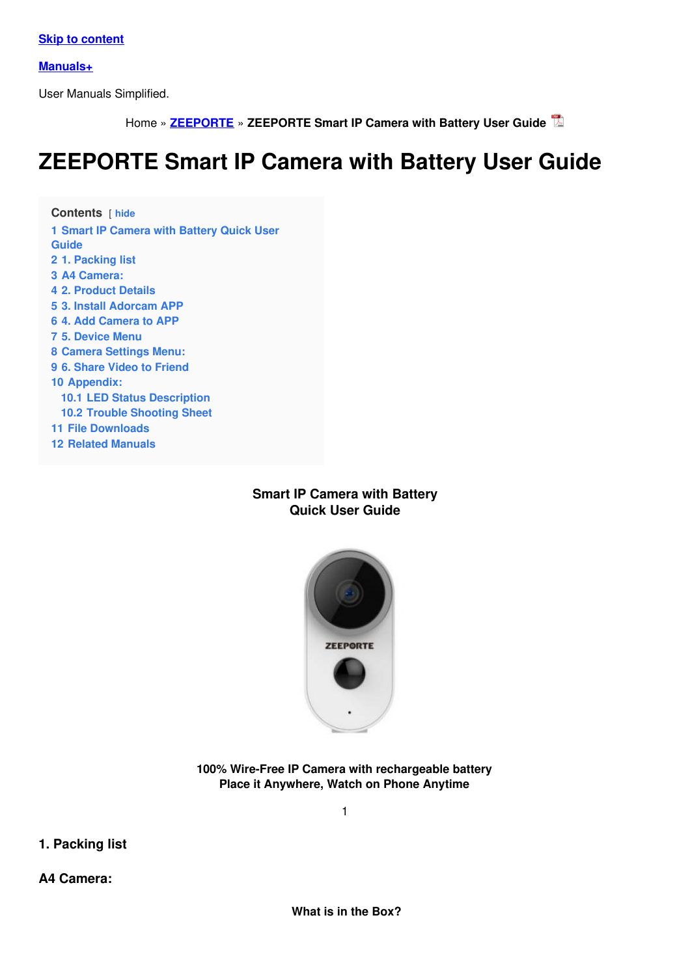**Skip to [content](#page-6-0)**

**[Manuals+](https://manuals.plus/)**

User Manuals Simplified.

Home » **[ZEEPORTE](https://manuals.plus/category/zeeporte)** » **ZEEPORTE Smart IP Camera with Battery User Guide**

# **ZEEPORTE Smart IP Camera with Battery User Guide**

**Contents** [ **hide Smart IP [Camera](#page-0-0) with Battery Quick User Guide 1. [Packing](#page-0-1) list A4 [Camera:](#page-0-2) 2. [Product](#page-1-0) Details 3. Install [Adorcam](#page-2-0) APP 4. Add [Camera](#page-3-0) to APP 5. [Device](#page-5-0) Menu Camera [Settings](#page-7-0) Menu: 6. [Share](#page-8-0) Video to Friend [Appendix:](#page-9-0) 10.1 LED Status [Description](#page-9-1) 10.2 Trouble [Shooting](#page-10-0) Sheet File [Downloads](#page-12-0)**

**12 Related [Manuals](#page-12-1)**

## <span id="page-0-0"></span>**Smart IP Camera with Battery Quick User Guide**



**100% Wire-Free IP Camera with rechargeable battery Place it Anywhere, Watch on Phone Anytime**

1

<span id="page-0-1"></span>**1. Packing list**

<span id="page-0-2"></span>**A4 Camera:**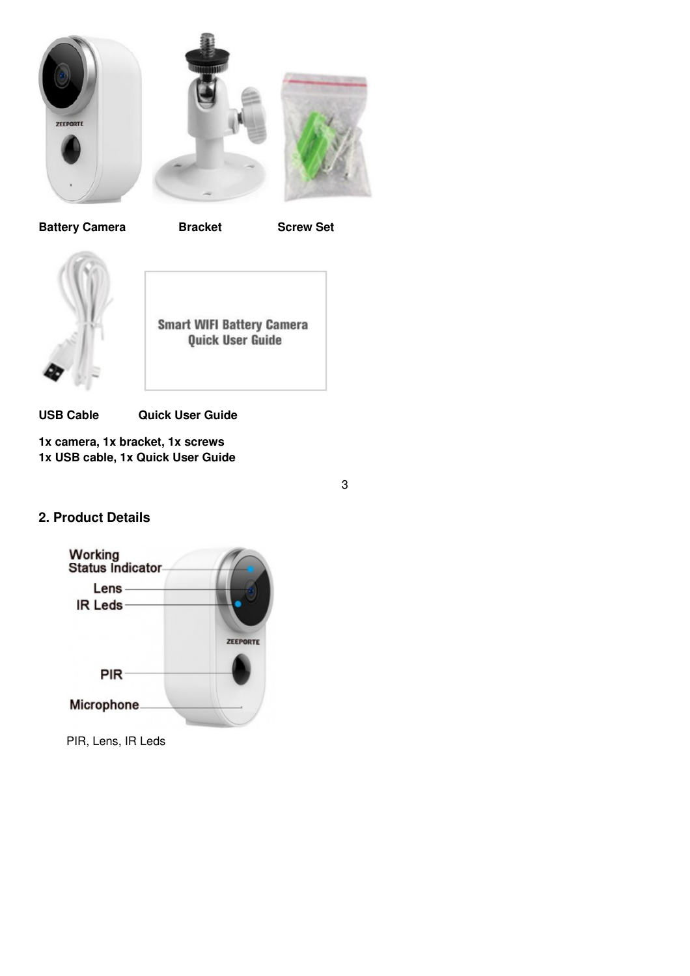





**Battery Camera Bracket Screw Set**



**Smart WIFI Battery Camera** Quick User Guide

**USB Cable Quick User Guide**

**1x camera, 1x bracket, 1x screws 1x USB cable, 1x Quick User Guide**

3

## <span id="page-1-0"></span>**2. Product Details**



PIR, Lens, IR Leds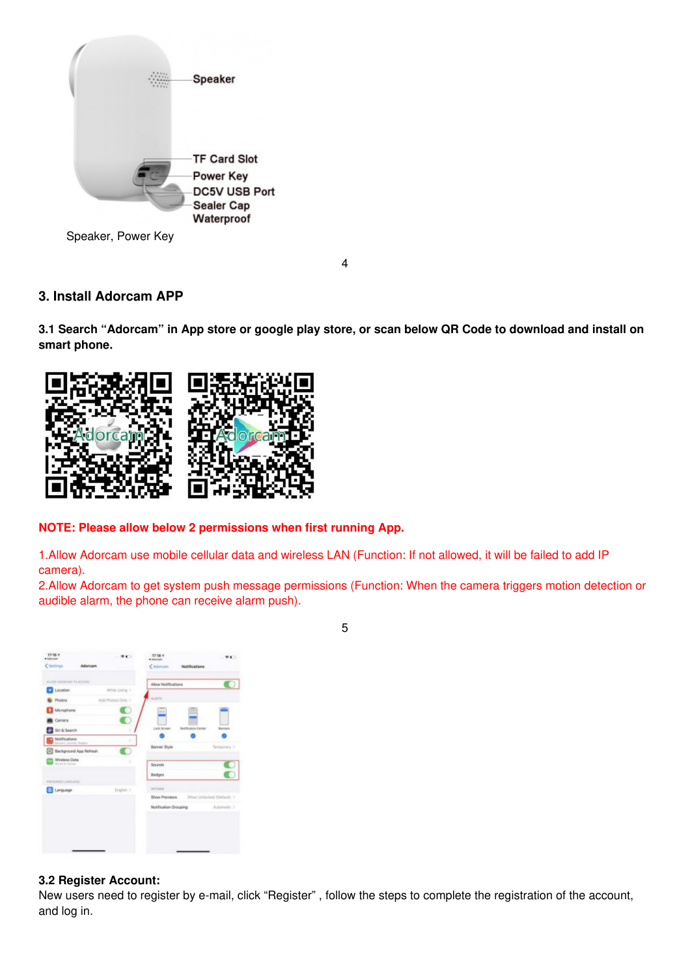

## <span id="page-2-0"></span>**3. Install Adorcam APP**

3.1 Search "Adorcam" in App store or google play store, or scan below QR Code to download and install on **smart phone.**

4



#### **NOTE: Please allow below 2 permissions when first running App.**

1.Allow Adorcam use mobile cellular data and wireless LAN (Function: If not allowed, it will be failed to add IP camera).

2.Allow Adorcam to get system push message permissions (Function: When the camera triggers motion detection or audible alarm, the phone can receive alarm push).



#### **3.2 Register Account:**

New users need to register by e-mail, click "Register" , follow the steps to complete the registration of the account, and log in.

5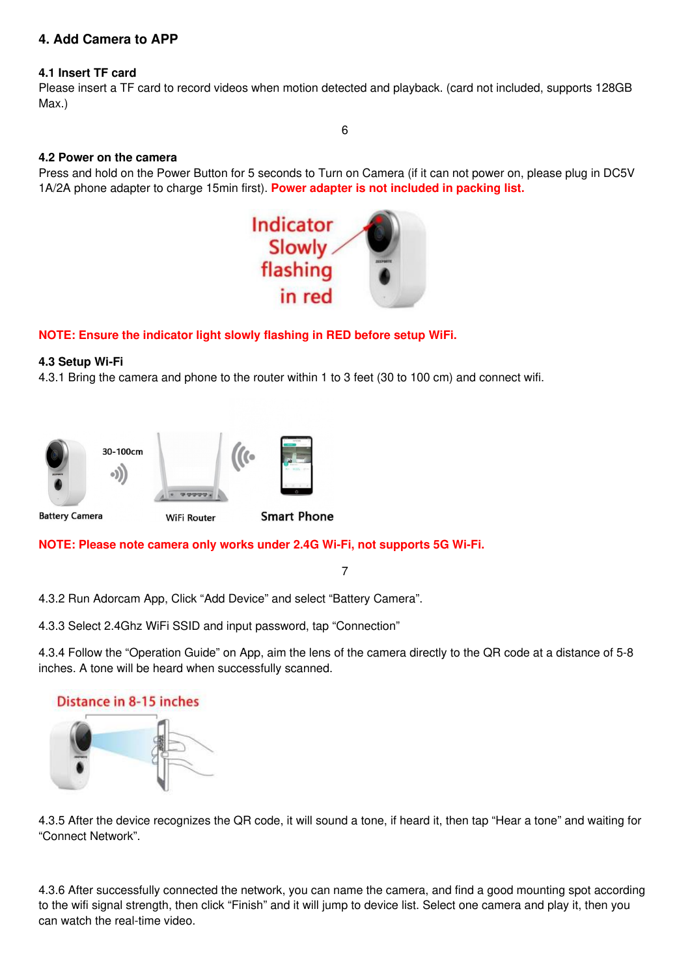## <span id="page-3-0"></span>**4. Add Camera to APP**

#### **4.1 Insert TF card**

Please insert a TF card to record videos when motion detected and playback. (card not included, supports 128GB Max.)

#### **4.2 Power on the camera**

Press and hold on the Power Button for 5 seconds to Turn on Camera (if it can not power on, please plug in DC5V 1A/2A phone adapter to charge 15min first). **Power adapter is not included in packing list.**



#### **NOTE: Ensure the indicator light slowly flashing in RED before setup WiFi.**

#### **4.3 Setup Wi-Fi**

4.3.1 Bring the camera and phone to the router within 1 to 3 feet (30 to 100 cm) and connect wifi.



**NOTE: Please note camera only works under 2.4G Wi-Fi, not supports 5G Wi-Fi.**

7

4.3.2 Run Adorcam App, Click "Add Device" and select "Battery Camera".

4.3.3 Select 2.4Ghz WiFi SSID and input password, tap "Connection"

4.3.4 Follow the "Operation Guide" on App, aim the lens of the camera directly to the QR code at a distance of 5-8 inches. A tone will be heard when successfully scanned.



4.3.5 After the device recognizes the QR code, it will sound a tone, if heard it, then tap "Hear a tone" and waiting for "Connect Network".

4.3.6 After successfully connected the network, you can name the camera, and find a good mounting spot according to the wifi signal strength, then click "Finish" and it will jump to device list. Select one camera and play it, then you can watch the real-time video.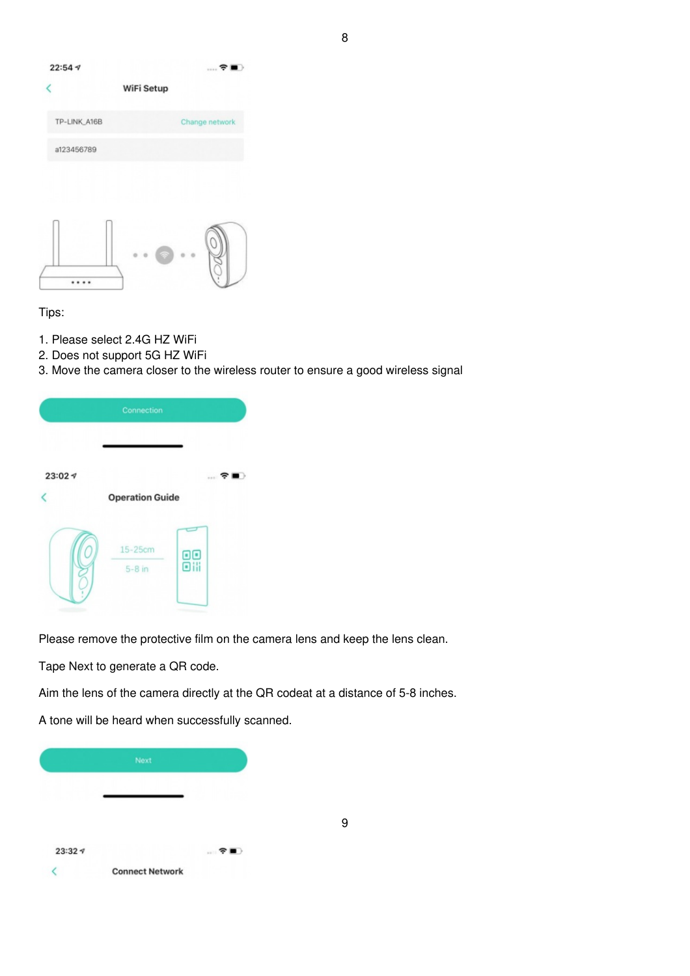

#### Tips:

- 1. Please select 2.4G HZ WiFi
- 2. Does not support 5G HZ WiFi
- 3. Move the camera closer to the wireless router to ensure a good wireless signal

|        | Connection             |    |     |
|--------|------------------------|----|-----|
| 23:027 | <b>Operation Guide</b> |    | … ร |
|        | 15-25cm<br>$5-8$ in    | 88 |     |

Please remove the protective film on the camera lens and keep the lens clean.

Tape Next to generate a QR code.

Aim the lens of the camera directly at the QR codeat at a distance of 5-8 inches.

9

A tone will be heard when successfully scanned.

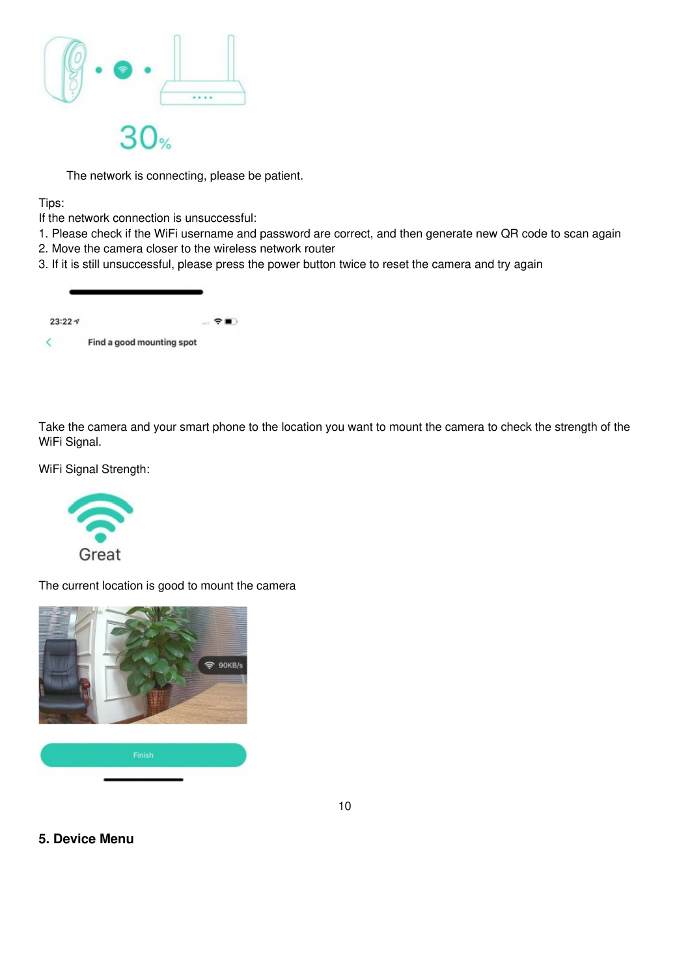

The network is connecting, please be patient.

Tips:

- If the network connection is unsuccessful:
- 1. Please check if the WiFi username and password are correct, and then generate new QR code to scan again
- 2. Move the camera closer to the wireless network router
- 3. If it is still unsuccessful, please press the power button twice to reset the camera and try again

| 23:227 |                           | $\blacksquare$ $\mathcal{R}$ $\blacksquare$ |
|--------|---------------------------|---------------------------------------------|
|        | Find a good mounting spot |                                             |

Take the camera and your smart phone to the location you want to mount the camera to check the strength of the WiFi Signal.

WiFi Signal Strength:



The current location is good to mount the camera



10

#### <span id="page-5-0"></span>**5. Device Menu**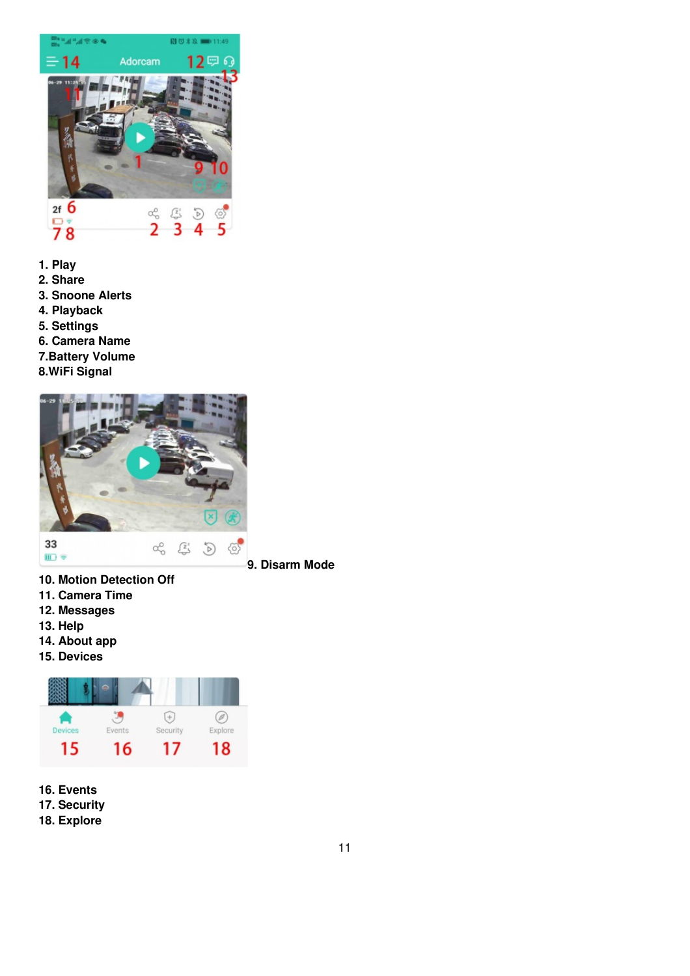<span id="page-6-0"></span>

- 
- **1. Play**
- **2. Share**
- **3. Snoone Alerts**
- **4. Playback**
- **5. Settings**
- **6. Camera Name**
- **7.Battery Volume**
- **8.WiFi Signal**



**9. Disarm Mode**

- **10. Motion Detection Off**
- **11. Camera Time**
- **12. Messages**
- **13. Help**
- **14. About app**
- **15. Devices**



**16. Events 17. Security**

**18. Explore**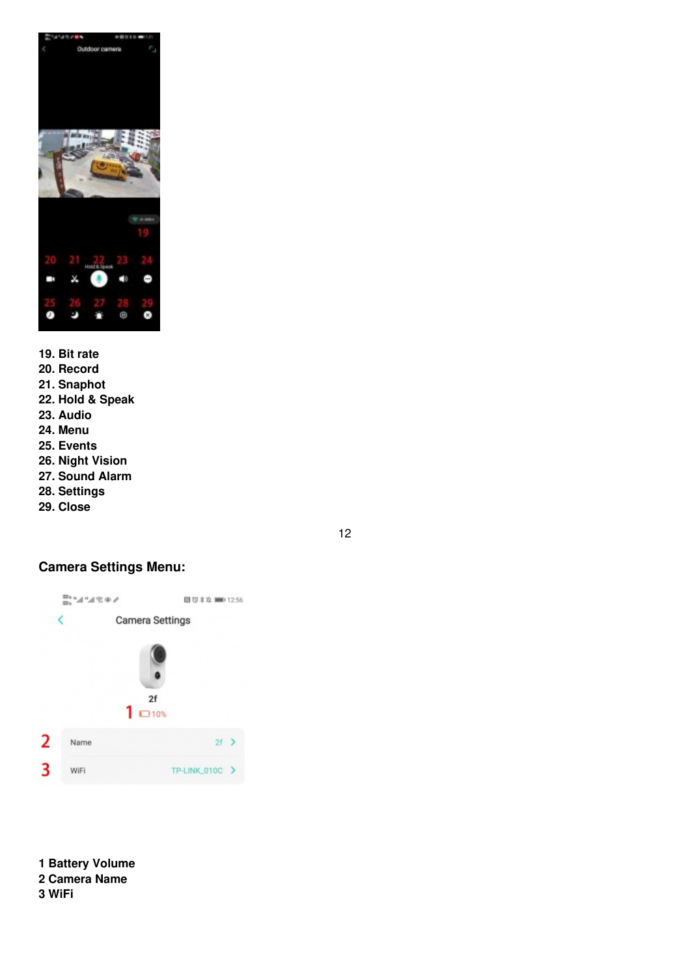

- **19. Bit rate 20. Record 21. Snaphot 22. Hold & Speak 23. Audio 24. Menu 25. Events 26. Night Vision 27. Sound Alarm 28. Settings**
- **29. Close**

## <span id="page-7-0"></span>**Camera Settings Menu:**

12



**1 Battery Volume 2 Camera Name 3 WiFi**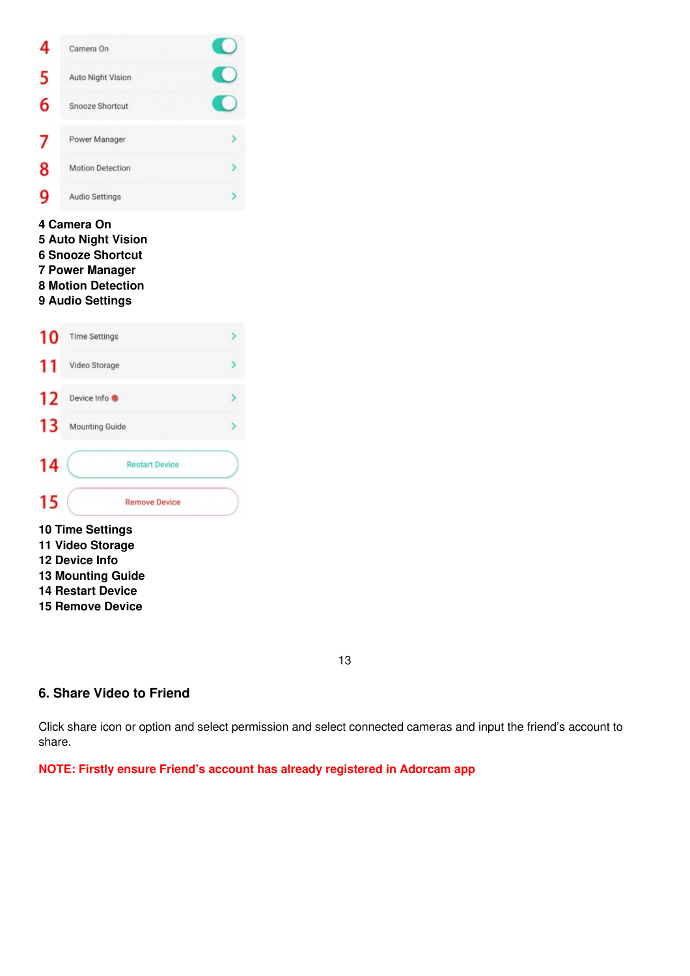

**Remove Device**

#### <span id="page-8-0"></span>**6. Share Video to Friend**

Click share icon or option and select permission and select connected cameras and input the friend's account to share.

**NOTE: Firstly ensure Friend's account has already registered in Adorcam app**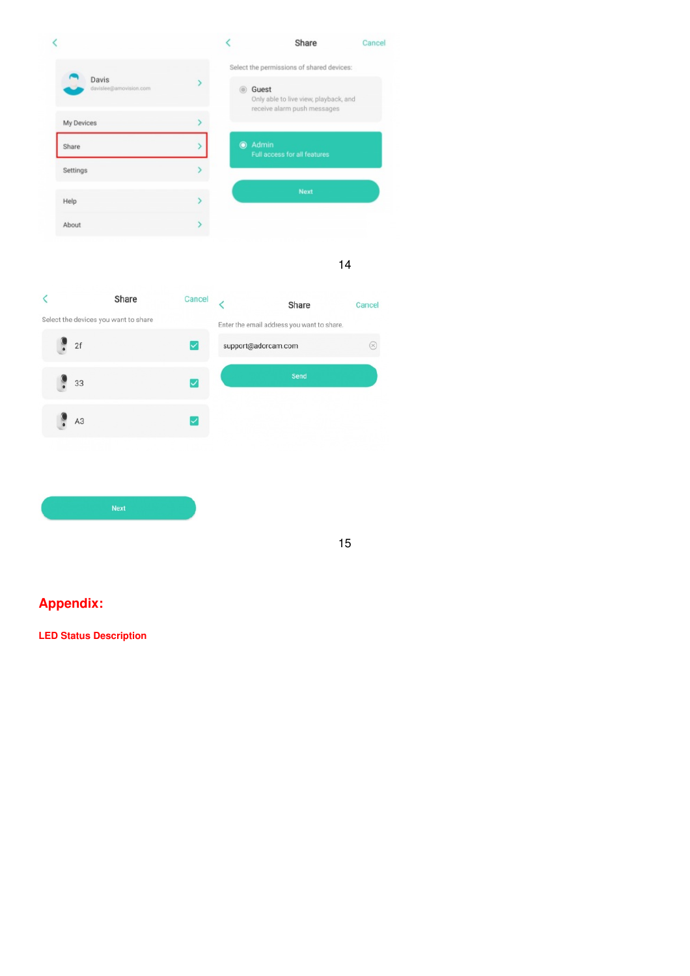

14

 $\overline{\textbf{<}}$ Share Cancel  $\overline{\overline{}}$ Share Cancel Select the devices you want to share Enter the email address you want to share.  $\ddot{\bullet}$  $\circledR$  $2f$  $\blacktriangledown$ support@adorcam.com  $\ddot{\cdot}$  $\overline{\mathbf{v}}$ 33  $A3$  $\overline{\mathsf{v}}$ 



<span id="page-9-0"></span>**Appendix:**

<span id="page-9-1"></span>**LED Status Description**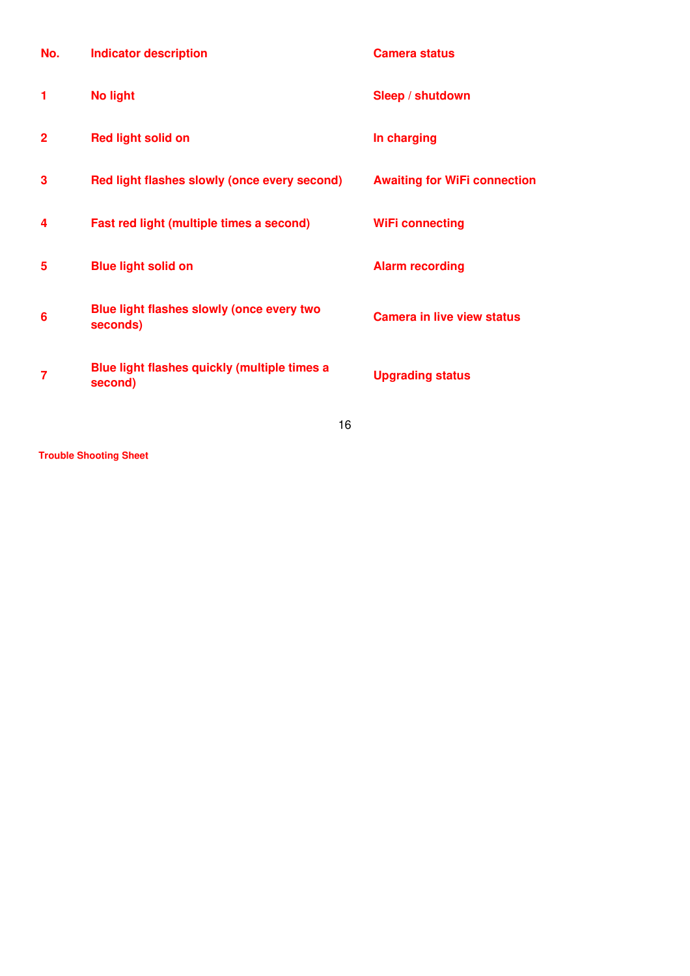| No.            | <b>Indicator description</b>                                 | <b>Camera status</b>                |
|----------------|--------------------------------------------------------------|-------------------------------------|
| 1              | <b>No light</b>                                              | Sleep / shutdown                    |
| $\overline{2}$ | <b>Red light solid on</b>                                    | In charging                         |
| 3              | Red light flashes slowly (once every second)                 | <b>Awaiting for WiFi connection</b> |
| 4              | Fast red light (multiple times a second)                     | <b>WiFi connecting</b>              |
| 5              | <b>Blue light solid on</b>                                   | <b>Alarm recording</b>              |
| 6              | <b>Blue light flashes slowly (once every two</b><br>seconds) | <b>Camera in live view status</b>   |
| 7              | Blue light flashes quickly (multiple times a<br>second)      | <b>Upgrading status</b>             |
|                | $\overline{ }$                                               |                                     |

16

<span id="page-10-0"></span>**Trouble Shooting Sheet**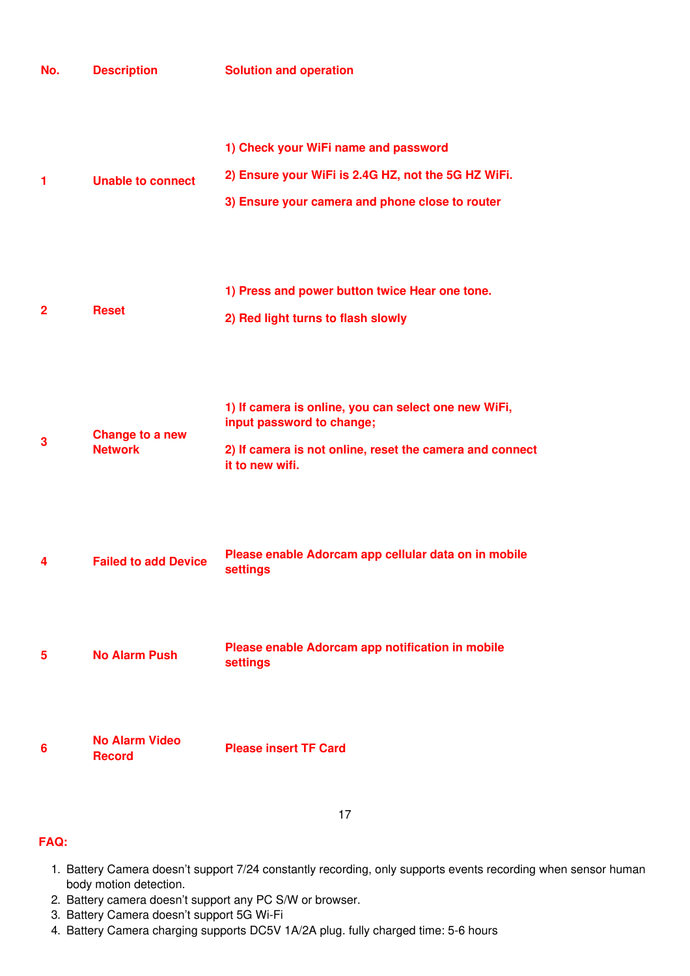| No.            | <b>Description</b>                     | <b>Solution and operation</b>                                                                                                                                    |
|----------------|----------------------------------------|------------------------------------------------------------------------------------------------------------------------------------------------------------------|
| 1              | <b>Unable to connect</b>               | 1) Check your WiFi name and password<br>2) Ensure your WiFi is 2.4G HZ, not the 5G HZ WiFi.<br>3) Ensure your camera and phone close to router                   |
| $\overline{2}$ | <b>Reset</b>                           | 1) Press and power button twice Hear one tone.<br>2) Red light turns to flash slowly                                                                             |
| 3              | Change to a new<br><b>Network</b>      | 1) If camera is online, you can select one new WiFi,<br>input password to change;<br>2) If camera is not online, reset the camera and connect<br>it to new wifi. |
| 4              | <b>Failed to add Device</b>            | Please enable Adorcam app cellular data on in mobile<br><b>settings</b>                                                                                          |
| 5              | <b>No Alarm Push</b>                   | Please enable Adorcam app notification in mobile<br><b>settings</b>                                                                                              |
| 6              | <b>No Alarm Video</b><br><b>Record</b> | <b>Please insert TF Card</b>                                                                                                                                     |
|                |                                        | 17                                                                                                                                                               |

## **FAQ:**

- 1. Battery Camera doesn't support 7/24 constantly recording, only supports events recording when sensor human body motion detection.
- 2. Battery camera doesn't support any PC S/W or browser.
- 3. Battery Camera doesn't support 5G Wi-Fi
- 4. Battery Camera charging supports DC5V 1A/2A plug. fully charged time: 5-6 hours